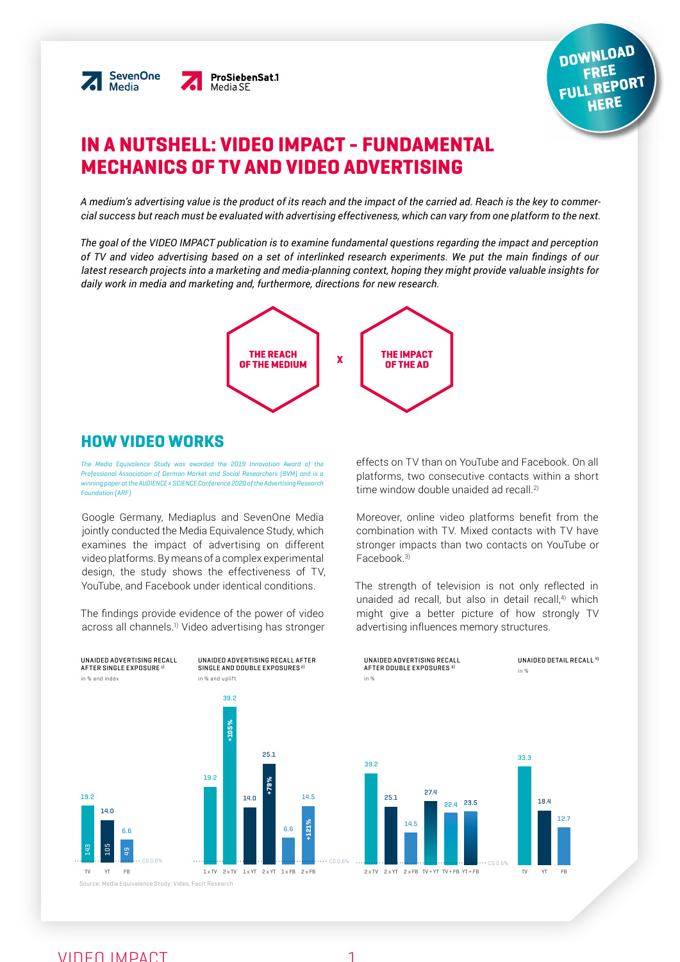



# IN A NUTSHELL: VIDEO IMPACT - FUNDAMENTAL MECHANICS OF TV AND VIDEO ADVERTISING

*A medium's advertising value is the product of its reach and the impact of the carried ad. Reach is the key to commercial success but reach must be evaluated with advertising effectiveness, which can vary from one platform to the next.*

*The goal of the VIDEO IMPACT publication is to examine fundamental questions regarding the impact and perception of TV and video advertising based on a set of interlinked research experiments. We put the main findings of our latest research projects into a marketing and media-planning context, hoping they might provide valuable insights for daily work in media and marketing and, furthermore, directions for new research.*



# HOW VIDEO WORKS

*The Media Equivalence Study was awarded the 2019 Innovation Award of the Professional Association of German Market and Social Researchers (BVM) and is a winning paper at the AUDIENCE x SCIENCE Conference 2020 of the Advertising Research Foundation (ARF)*

Google Germany, Mediaplus and SevenOne Media jointly conducted the Media Equivalence Study, which examines the impact of advertising on different video platforms. By means of a complex experimental design, the study shows the effectiveness of TV, YouTube, and Facebook under identical conditions.

The findings provide evidence of the power of video across all channels.<sup>1)</sup> Video advertising has stronger effects on TV than on YouTube and Facebook. On all platforms, two consecutive contacts within a short time window double unaided ad recall.<sup>2)</sup>

Moreover, online video platforms benefit from the combination with TV. Mixed contacts with TV have stronger impacts than two contacts on YouTube or Facebook<sup>3)</sup>

The strength of television is not only reflected in unaided ad recall, but also in detail recall,<sup>4)</sup> which might give a better picture of how strongly TV advertising influences memory structures.

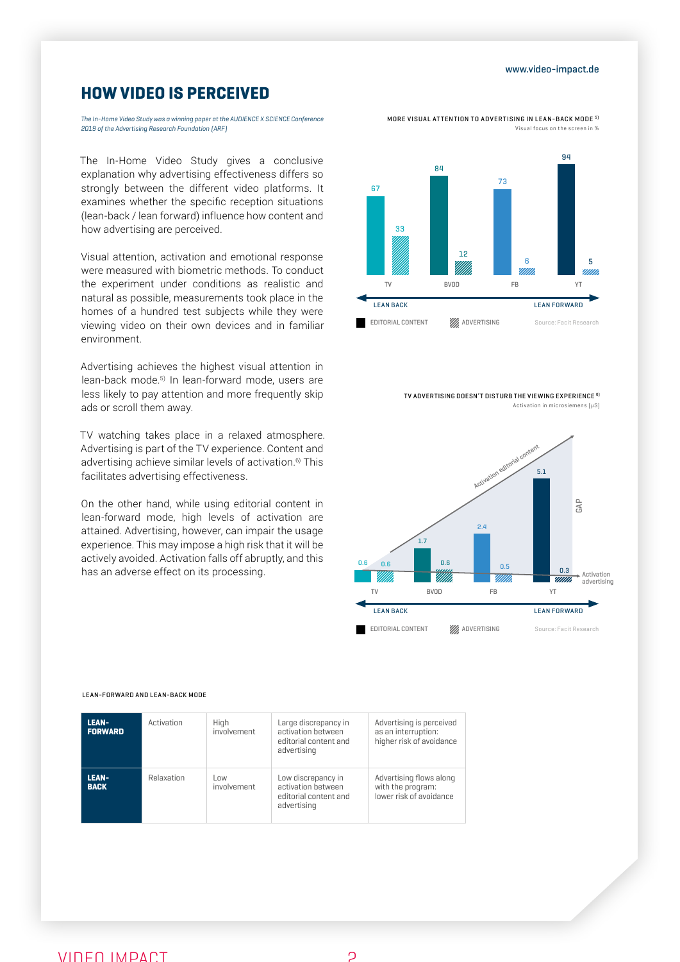### www.video-impact.de

# HOW VIDEO IS PERCEIVED

*The In-Home Video Study was a winning paper at the AUDIENCE X SCIENCE Conference 2019 of the Advertising Research Foundation (ARF)*

The In-Home Video Study gives a conclusive explanation why advertising effectiveness differs so strongly between the different video platforms. It examines whether the specific reception situations (lean-back / lean forward) influence how content and how advertising are perceived.

Visual attention, activation and emotional response were measured with biometric methods. To conduct the experiment under conditions as realistic and natural as possible, measurements took place in the homes of a hundred test subjects while they were viewing video on their own devices and in familiar environment.

Advertising achieves the highest visual attention in lean-back mode.<sup>5)</sup> In lean-forward mode, users are less likely to pay attention and more frequently skip ads or scroll them away.

TV watching takes place in a relaxed atmosphere. Advertising is part of the TV experience. Content and advertising achieve similar levels of activation.<sup>6)</sup> This facilitates advertising effectiveness.

On the other hand, while using editorial content in lean-forward mode, high levels of activation are attained. Advertising, however, can impair the usage experience. This may impose a high risk that it will be actively avoided. Activation falls off abruptly, and this has an adverse effect on its processing.

MORE VISUAL ATTENTION TO ADVERTISING IN LEAN-BACK MODE 5) Visual focus on the screen



TV ADVERTISING DOESN'T DISTURB THE VIEWING EXPERIENCE 6) Activation in microsiemens (µS)



| <b>LEAN-</b><br><b>FORWARD</b> | Activation | High<br>involvement | Large discrepancy in<br>activation between<br>editorial content and<br>advertising | Advertising is perceived<br>as an interruption:<br>higher risk of avoidance |
|--------------------------------|------------|---------------------|------------------------------------------------------------------------------------|-----------------------------------------------------------------------------|
| <b>LEAN-</b><br><b>BACK</b>    | Relaxation | Low<br>involvement  | Low discrepancy in<br>activation between<br>editorial content and<br>advertising   | Advertising flows along<br>with the program:<br>lower risk of avoidance     |

#### LEAN-FORWARD AND LEAN-BACK MODE

## VIDEO IMPACT 2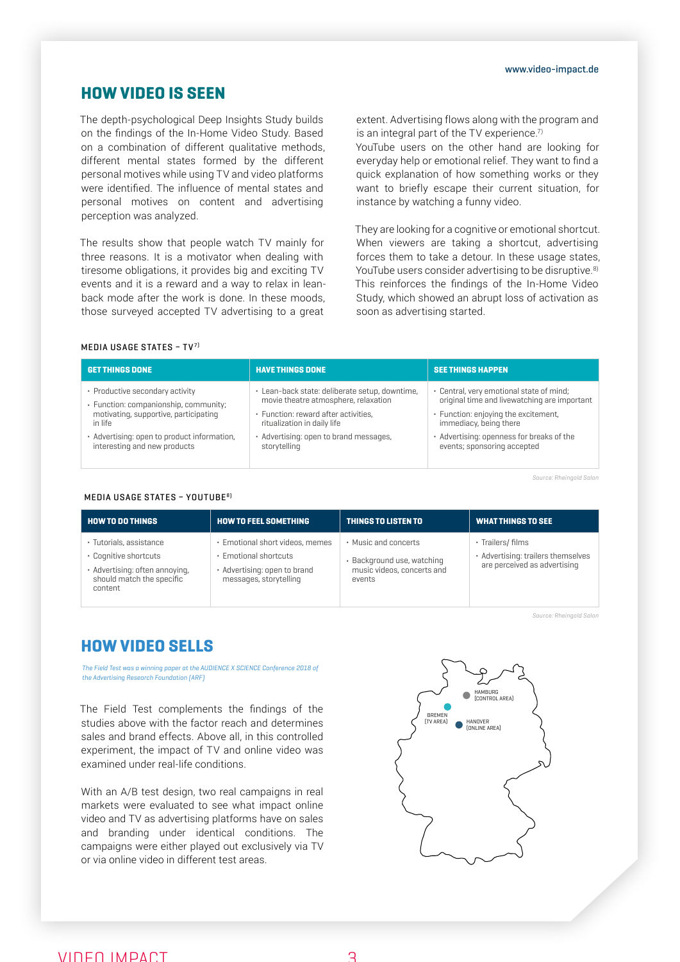# HOW VIDEO IS SEEN

The depth-psychological Deep Insights Study builds on the findings of the In-Home Video Study. Based on a combination of different qualitative methods, different mental states formed by the different personal motives while using TV and video platforms were identified. The influence of mental states and personal motives on content and advertising perception was analyzed.

The results show that people watch TV mainly for three reasons. It is a motivator when dealing with tiresome obligations, it provides big and exciting TV events and it is a reward and a way to relax in leanback mode after the work is done. In these moods, those surveyed accepted TV advertising to a great

extent. Advertising flows along with the program and is an integral part of the TV experience. $7$ 

YouTube users on the other hand are looking for everyday help or emotional relief. They want to find a quick explanation of how something works or they want to briefly escape their current situation, for instance by watching a funny video.

They are looking for a cognitive or emotional shortcut. When viewers are taking a shortcut, advertising forces them to take a detour. In these usage states, YouTube users consider advertising to be disruptive.<sup>8)</sup> This reinforces the findings of the In-Home Video Study, which showed an abrupt loss of activation as soon as advertising started.

## MEDIA USAGE STATES – TV7)

| <b>GET THINGS DONE</b>                      | <b>HAVE THINGS DONE</b>                        | <b>SEE THINGS HAPPEN</b>                     |
|---------------------------------------------|------------------------------------------------|----------------------------------------------|
| • Productive secondary activity             | · Lean-back state: deliberate setup, downtime, | • Central, very emotional state of mind;     |
| · Function: companionship, community;       | movie theatre atmosphere, relaxation           | original time and livewatching are important |
| motivating, supportive, participating       | · Function: reward after activities.           | • Function: enjoying the excitement,         |
| in life                                     | ritualization in daily life                    | immediacy, being there                       |
| · Advertising: open to product information, | · Advertising: open to brand messages,         | • Advertising: openness for breaks of the    |
| interesting and new products                | storytelling                                   | events; sponsoring accepted                  |

Source: Rheingold Salon

### MEDIA USAGE STATES – YOUTUBE8)

| HOW TO DO THINGS                                                                                                           | <b>HOW TO FEEL SOMETHING</b>                                                                                       | THINGS TO LISTEN TO                                                                        | <b>WHAT THINGS TO SEE</b>                                                               |
|----------------------------------------------------------------------------------------------------------------------------|--------------------------------------------------------------------------------------------------------------------|--------------------------------------------------------------------------------------------|-----------------------------------------------------------------------------------------|
| · Tutorials, assistance<br>• Cognitive shortcuts<br>· Advertising: often annoying,<br>should match the specific<br>content | • Emotional short videos, memes<br>• Emotional shortcuts<br>• Advertising: open to brand<br>messages, storytelling | • Music and concerts<br>· Background use, watching<br>music videos, concerts and<br>events | · Trailers/ films<br>• Advertising: trailers themselves<br>are perceived as advertising |

Source: Rheingold Salon

# HOW VIDEO SELLS

*The Field Test was a winning paper at the AUDIENCE X SCIENCE Conference 2018 of the Advertising Research Foundation (ARF)*

The Field Test complements the findings of the studies above with the factor reach and determines sales and brand effects. Above all, in this controlled experiment, the impact of TV and online video was examined under real-life conditions.

With an A/B test design, two real campaigns in real markets were evaluated to see what impact online video and TV as advertising platforms have on sales and branding under identical conditions. The campaigns were either played out exclusively via TV or via online video in different test areas.

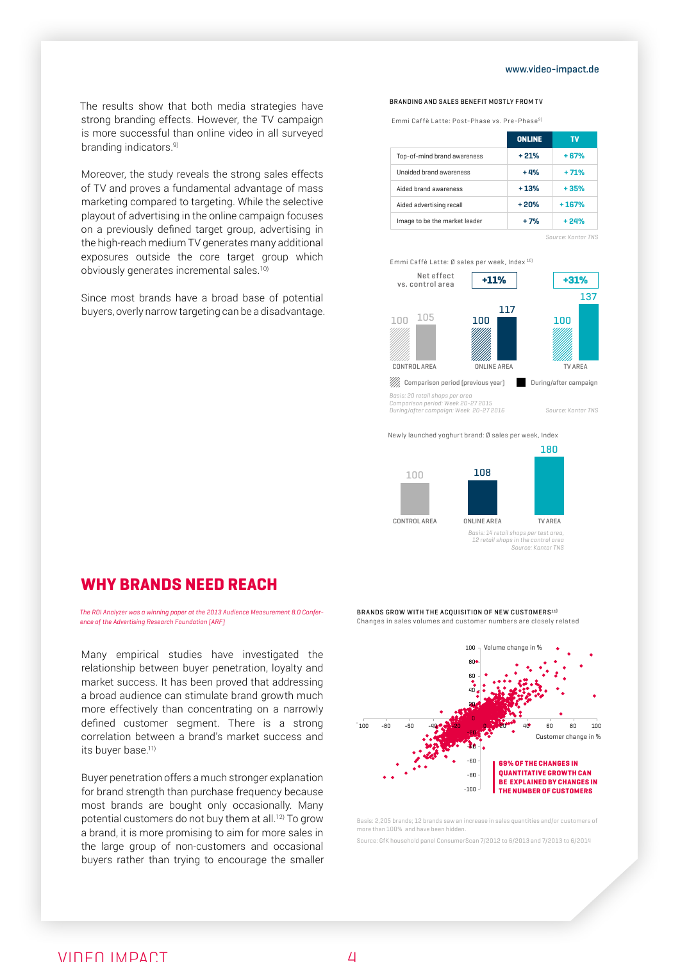### www.video-impact.de

The results show that both media strategies have strong branding effects. However, the TV campaign is more successful than online video in all surveyed branding indicators.<sup>9)</sup>

Moreover, the study reveals the strong sales effects of TV and proves a fundamental advantage of mass marketing compared to targeting. While the selective playout of advertising in the online campaign focuses on a previously defined target group, advertising in the high-reach medium TV generates many additional exposures outside the core target group which obviously generates incremental sales.<sup>10)</sup>

Since most brands have a broad base of potential buyers, overly narrow targeting can be a disadvantage.

#### BRANDING AND SALES BENEFIT MOSTLY FROM TV

Emmi Caffè Latte: Post-Phase vs. Pre-Phase 9)

|                               | <b>ONLINE</b> | τv      |
|-------------------------------|---------------|---------|
| Top-of-mind brand awareness   | $+21%$        | $+67%$  |
| Unaided brand awareness       | $+4%$         | $+71%$  |
| Aided brand awareness         | $+13%$        | $+35%$  |
| Aided advertising recall      | $+20%$        | $+167%$ |
| Image to be the market leader | $+7%$         | + 24%   |

Source: Kantar TNS



Newly launched yoghurt brand: Ø sales per week, Index



# WHY BRANDS NEED REACH

*The ROI Analyzer was a winning paper at the 2013 Audience Measurement 8.0 Conference of the Advertising Research Foundation (ARF)*

Many empirical studies have investigated the relationship between buyer penetration, loyalty and market success. It has been proved that addressing a broad audience can stimulate brand growth much more effectively than concentrating on a narrowly defined customer segment. There is a strong correlation between a brand's market success and its buver base.<sup>11)</sup>

Buyer penetration offers a much stronger explanation for brand strength than purchase frequency because most brands are bought only occasionally. Many potential customers do not buy them at all.12) To grow a brand, it is more promising to aim for more sales in the large group of non-customers and occasional buyers rather than trying to encourage the smaller



BRANDS GROW WITH THE ACQUISITION OF NEW CUSTOMERS $^{\text{11}}$ 



Basis: 2,205 brands; 12 brands saw an increase in sales quantities and/or customers of more than 100% and have been hidden.

Source: GfK household panel ConsumerScan 7/2012 to 6/2013 and 7/2013 to 6/2014